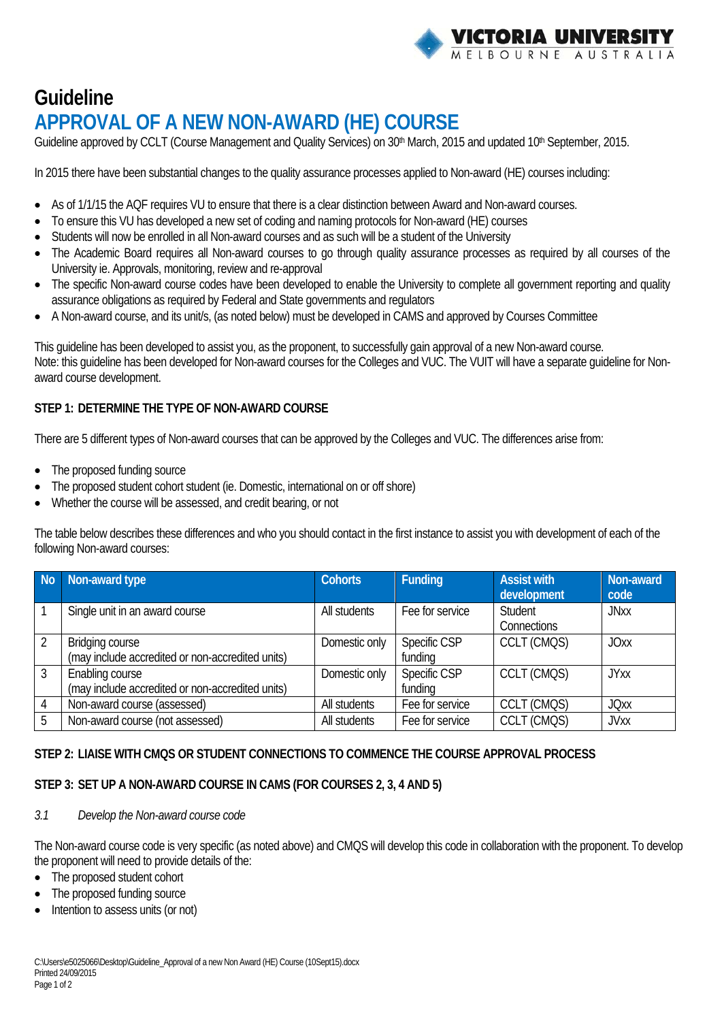

# **Guideline APPROVAL OF A NEW NON-AWARD (HE) COURSE**

Guideline approved by CCLT (Course Management and Quality Services) on 30<sup>th</sup> March, 2015 and updated 10<sup>th</sup> September, 2015.

In 2015 there have been substantial changes to the quality assurance processes applied to Non-award (HE) courses including:

- As of 1/1/15 the AQF requires VU to ensure that there is a clear distinction between Award and Non-award courses.
- To ensure this VU has developed a new set of coding and naming protocols for Non-award (HE) courses
- Students will now be enrolled in all Non-award courses and as such will be a student of the University
- The Academic Board requires all Non-award courses to go through quality assurance processes as required by all courses of the University ie. Approvals, monitoring, review and re-approval
- The specific Non-award course codes have been developed to enable the University to complete all government reporting and quality assurance obligations as required by Federal and State governments and regulators
- A Non-award course, and its unit/s, (as noted below) must be developed in CAMS and approved by Courses Committee

This guideline has been developed to assist you, as the proponent, to successfully gain approval of a new Non-award course. Note: this guideline has been developed for Non-award courses for the Colleges and VUC. The VUIT will have a separate guideline for Nonaward course development.

# **STEP 1: DETERMINE THE TYPE OF NON-AWARD COURSE**

There are 5 different types of Non-award courses that can be approved by the Colleges and VUC. The differences arise from:

- The proposed funding source
- The proposed student cohort student (ie. Domestic, international on or off shore)
- Whether the course will be assessed, and credit bearing, or not

The table below describes these differences and who you should contact in the first instance to assist you with development of each of the following Non-award courses:

| No             | Non-award type                                                             | <b>Cohorts</b> | Funding                 | <b>Assist with</b><br>development | Non-award<br>code |
|----------------|----------------------------------------------------------------------------|----------------|-------------------------|-----------------------------------|-------------------|
|                | Single unit in an award course                                             | All students   | Fee for service         | Student<br>Connections            | <b>JNxx</b>       |
| $\mathfrak{D}$ | <b>Bridging course</b><br>(may include accredited or non-accredited units) | Domestic only  | Specific CSP<br>funding | CCLT (CMQS)                       | <b>JOxx</b>       |
| 3              | Enabling course<br>(may include accredited or non-accredited units)        | Domestic only  | Specific CSP<br>funding | CCLT (CMQS)                       | <b>JYxx</b>       |
| 4              | Non-award course (assessed)                                                | All students   | Fee for service         | CCLT (CMQS)                       | <b>JOxx</b>       |
| 5              | Non-award course (not assessed)                                            | All students   | Fee for service         | CCLT (CMQS)                       | <b>JVxx</b>       |

## **STEP 2: LIAISE WITH CMQS OR STUDENT CONNECTIONS TO COMMENCE THE COURSE APPROVAL PROCESS**

## **STEP 3: SET UP A NON-AWARD COURSE IN CAMS (FOR COURSES 2, 3, 4 AND 5)**

#### *3.1 Develop the Non-award course code*

The Non-award course code is very specific (as noted above) and CMQS will develop this code in collaboration with the proponent. To develop the proponent will need to provide details of the:

- The proposed student cohort
- The proposed funding source
- Intention to assess units (or not)